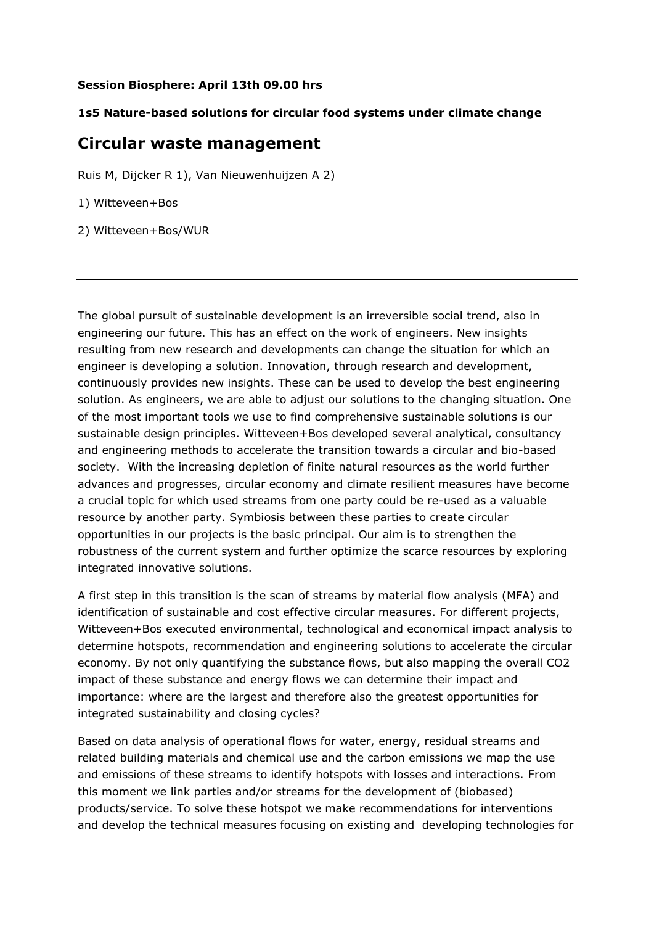## **Session Biosphere: April 13th 09.00 hrs**

## **1s5 Nature-based solutions for circular food systems under climate change**

## **Circular waste management**

Ruis M, Dijcker R 1), Van Nieuwenhuijzen A 2)

1) Witteveen+Bos

2) Witteveen+Bos/WUR

The global pursuit of sustainable development is an irreversible social trend, also in engineering our future. This has an effect on the work of engineers. New insights resulting from new research and developments can change the situation for which an engineer is developing a solution. Innovation, through research and development, continuously provides new insights. These can be used to develop the best engineering solution. As engineers, we are able to adjust our solutions to the changing situation. One of the most important tools we use to find comprehensive sustainable solutions is our sustainable design principles. Witteveen+Bos developed several analytical, consultancy and engineering methods to accelerate the transition towards a circular and bio-based society. With the increasing depletion of finite natural resources as the world further advances and progresses, circular economy and climate resilient measures have become a crucial topic for which used streams from one party could be re-used as a valuable resource by another party. Symbiosis between these parties to create circular opportunities in our projects is the basic principal. Our aim is to strengthen the robustness of the current system and further optimize the scarce resources by exploring integrated innovative solutions.

A first step in this transition is the scan of streams by material flow analysis (MFA) and identification of sustainable and cost effective circular measures. For different projects, Witteveen+Bos executed environmental, technological and economical impact analysis to determine hotspots, recommendation and engineering solutions to accelerate the circular economy. By not only quantifying the substance flows, but also mapping the overall CO2 impact of these substance and energy flows we can determine their impact and importance: where are the largest and therefore also the greatest opportunities for integrated sustainability and closing cycles?

Based on data analysis of operational flows for water, energy, residual streams and related building materials and chemical use and the carbon emissions we map the use and emissions of these streams to identify hotspots with losses and interactions. From this moment we link parties and/or streams for the development of (biobased) products/service. To solve these hotspot we make recommendations for interventions and develop the technical measures focusing on existing and developing technologies for